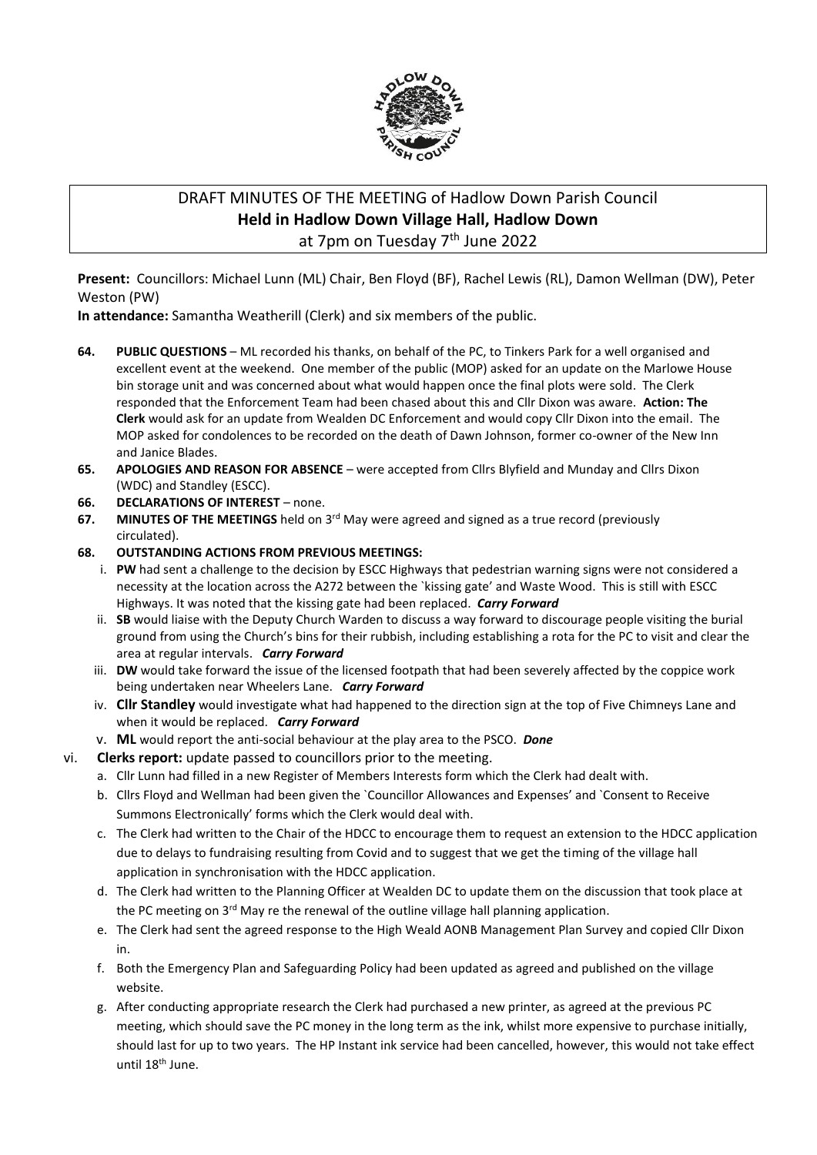

# DRAFT MINUTES OF THE MEETING of Hadlow Down Parish Council **Held in Hadlow Down Village Hall, Hadlow Down** at 7pm on Tuesday 7<sup>th</sup> June 2022

**Present:** Councillors: Michael Lunn (ML) Chair, Ben Floyd (BF), Rachel Lewis (RL), Damon Wellman (DW), Peter Weston (PW)

**In attendance:** Samantha Weatherill (Clerk) and six members of the public.

- **64. PUBLIC QUESTIONS** ML recorded his thanks, on behalf of the PC, to Tinkers Park for a well organised and excellent event at the weekend. One member of the public (MOP) asked for an update on the Marlowe House bin storage unit and was concerned about what would happen once the final plots were sold. The Clerk responded that the Enforcement Team had been chased about this and Cllr Dixon was aware. **Action: The Clerk** would ask for an update from Wealden DC Enforcement and would copy Cllr Dixon into the email. The MOP asked for condolences to be recorded on the death of Dawn Johnson, former co-owner of the New Inn and Janice Blades.
- **65. APOLOGIES AND REASON FOR ABSENCE** were accepted from Cllrs Blyfield and Munday and Cllrs Dixon (WDC) and Standley (ESCC).
- **66. DECLARATIONS OF INTEREST** none.
- **67. MINUTES OF THE MEETINGS** held on 3<sup>rd</sup> May were agreed and signed as a true record (previously circulated).
- **68. OUTSTANDING ACTIONS FROM PREVIOUS MEETINGS:**
	- i. **PW** had sent a challenge to the decision by ESCC Highways that pedestrian warning signs were not considered a necessity at the location across the A272 between the `kissing gate' and Waste Wood. This is still with ESCC Highways. It was noted that the kissing gate had been replaced. *Carry Forward*
	- ii. **SB** would liaise with the Deputy Church Warden to discuss a way forward to discourage people visiting the burial ground from using the Church's bins for their rubbish, including establishing a rota for the PC to visit and clear the area at regular intervals. *Carry Forward*
	- iii. **DW** would take forward the issue of the licensed footpath that had been severely affected by the coppice work being undertaken near Wheelers Lane. *Carry Forward*
	- iv. **Cllr Standley** would investigate what had happened to the direction sign at the top of Five Chimneys Lane and when it would be replaced. *Carry Forward*
	- v. **ML** would report the anti-social behaviour at the play area to the PSCO. *Done*
- vi. **Clerks report:** update passed to councillors prior to the meeting.
	- a. Cllr Lunn had filled in a new Register of Members Interests form which the Clerk had dealt with.
	- b. Cllrs Floyd and Wellman had been given the `Councillor Allowances and Expenses' and `Consent to Receive Summons Electronically' forms which the Clerk would deal with.
	- c. The Clerk had written to the Chair of the HDCC to encourage them to request an extension to the HDCC application due to delays to fundraising resulting from Covid and to suggest that we get the timing of the village hall application in synchronisation with the HDCC application.
	- d. The Clerk had written to the Planning Officer at Wealden DC to update them on the discussion that took place at the PC meeting on  $3<sup>rd</sup>$  May re the renewal of the outline village hall planning application.
	- e. The Clerk had sent the agreed response to the High Weald AONB Management Plan Survey and copied Cllr Dixon in.
	- f. Both the Emergency Plan and Safeguarding Policy had been updated as agreed and published on the village website.
	- g. After conducting appropriate research the Clerk had purchased a new printer, as agreed at the previous PC meeting, which should save the PC money in the long term as the ink, whilst more expensive to purchase initially, should last for up to two years. The HP Instant ink service had been cancelled, however, this would not take effect until 18th June.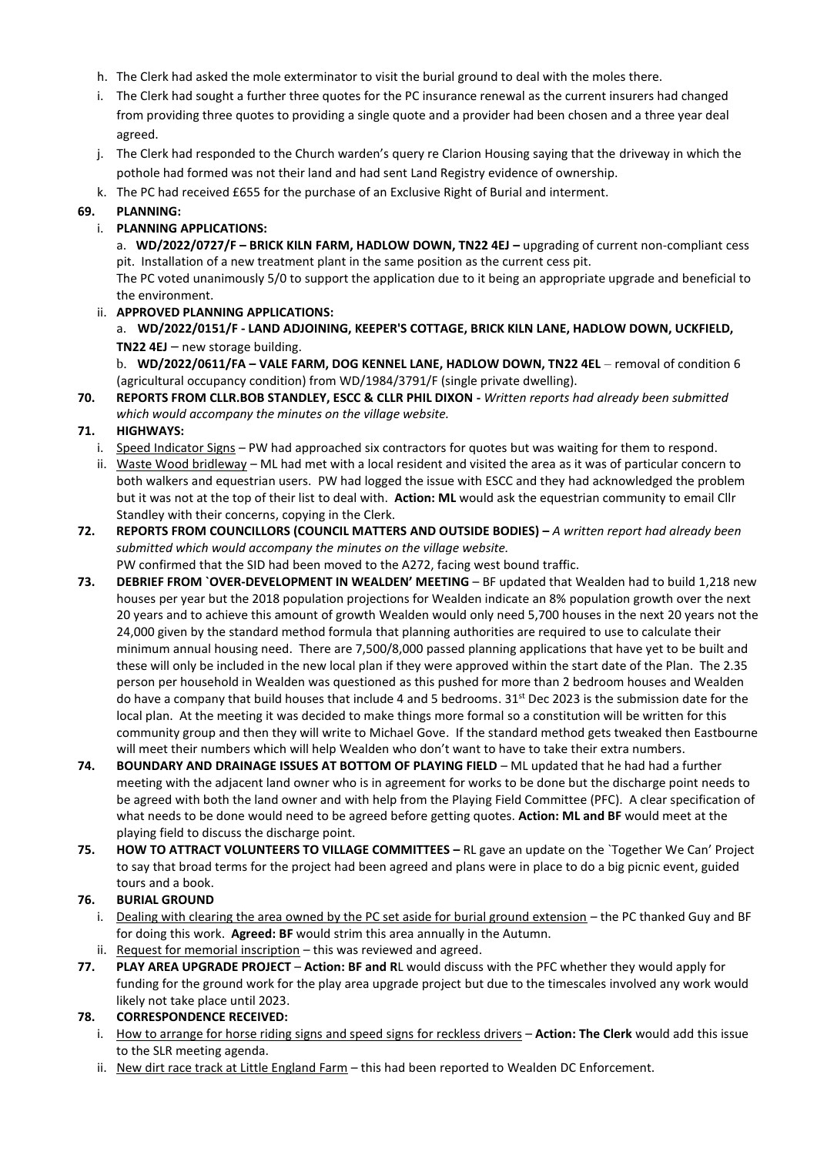- h. The Clerk had asked the mole exterminator to visit the burial ground to deal with the moles there.
- i. The Clerk had sought a further three quotes for the PC insurance renewal as the current insurers had changed from providing three quotes to providing a single quote and a provider had been chosen and a three year deal agreed.
- j. The Clerk had responded to the Church warden's query re Clarion Housing saying that the driveway in which the pothole had formed was not their land and had sent Land Registry evidence of ownership.
- k. The PC had received £655 for the purchase of an Exclusive Right of Burial and interment.

#### **69. PLANNING:**

## i. **PLANNING APPLICATIONS:**

a. WD/2022/0727/F - BRICK KILN FARM, HADLOW DOWN, TN22 4EJ - upgrading of current non-compliant cess pit. Installation of a new treatment plant in the same position as the current cess pit.

The PC voted unanimously 5/0 to support the application due to it being an appropriate upgrade and beneficial to the environment.

ii. **APPROVED PLANNING APPLICATIONS:**

a. **WD/2022/0151/F - LAND ADJOINING, KEEPER'S COTTAGE, BRICK KILN LANE, HADLOW DOWN, UCKFIELD, TN22 4EJ** – new storage building.

b. **WD/2022/0611/FA – VALE FARM, DOG KENNEL LANE, HADLOW DOWN, TN22 4EL** – removal of condition 6 (agricultural occupancy condition) from WD/1984/3791/F (single private dwelling).

**70. REPORTS FROM CLLR.BOB STANDLEY, ESCC & CLLR PHIL DIXON -** *Written reports had already been submitted which would accompany the minutes on the village website.*

#### **71. HIGHWAYS:**

- i. Speed Indicator Signs PW had approached six contractors for quotes but was waiting for them to respond.
- ii. Waste Wood bridleway ML had met with a local resident and visited the area as it was of particular concern to both walkers and equestrian users. PW had logged the issue with ESCC and they had acknowledged the problem but it was not at the top of their list to deal with. **Action: ML** would ask the equestrian community to email Cllr Standley with their concerns, copying in the Clerk.
- **72. REPORTS FROM COUNCILLORS (COUNCIL MATTERS AND OUTSIDE BODIES) –** *A written report had already been submitted which would accompany the minutes on the village website.* PW confirmed that the SID had been moved to the A272, facing west bound traffic.
- **73. DEBRIEF FROM `OVER-DEVELOPMENT IN WEALDEN' MEETING** BF updated that Wealden had to build 1,218 new houses per year but the 2018 population projections for Wealden indicate an 8% population growth over the next 20 years and to achieve this amount of growth Wealden would only need 5,700 houses in the next 20 years not the 24,000 given by the standard method formula that planning authorities are required to use to calculate their minimum annual housing need. There are 7,500/8,000 passed planning applications that have yet to be built and these will only be included in the new local plan if they were approved within the start date of the Plan. The 2.35 person per household in Wealden was questioned as this pushed for more than 2 bedroom houses and Wealden do have a company that build houses that include 4 and 5 bedrooms.  $31^{st}$  Dec 2023 is the submission date for the local plan. At the meeting it was decided to make things more formal so a constitution will be written for this community group and then they will write to Michael Gove. If the standard method gets tweaked then Eastbourne will meet their numbers which will help Wealden who don't want to have to take their extra numbers.
- **74. BOUNDARY AND DRAINAGE ISSUES AT BOTTOM OF PLAYING FIELD** ML updated that he had had a further meeting with the adjacent land owner who is in agreement for works to be done but the discharge point needs to be agreed with both the land owner and with help from the Playing Field Committee (PFC). A clear specification of what needs to be done would need to be agreed before getting quotes. **Action: ML and BF** would meet at the playing field to discuss the discharge point.
- **75. HOW TO ATTRACT VOLUNTEERS TO VILLAGE COMMITTEES –** RL gave an update on the `Together We Can' Project to say that broad terms for the project had been agreed and plans were in place to do a big picnic event, guided tours and a book.

## **76. BURIAL GROUND**

- i. Dealing with clearing the area owned by the PC set aside for burial ground extension the PC thanked Guy and BF for doing this work. **Agreed: BF** would strim this area annually in the Autumn.
- ii. Request for memorial inscription this was reviewed and agreed.
- **77. PLAY AREA UPGRADE PROJECT Action: BF and R**L would discuss with the PFC whether they would apply for funding for the ground work for the play area upgrade project but due to the timescales involved any work would likely not take place until 2023.

## **78. CORRESPONDENCE RECEIVED:**

- i. How to arrange for horse riding signs and speed signs for reckless drivers **Action: The Clerk** would add this issue to the SLR meeting agenda.
- ii. New dirt race track at Little England Farm this had been reported to Wealden DC Enforcement.